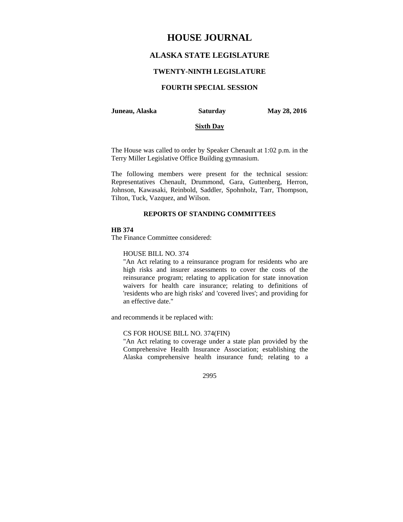# **HOUSE JOURNAL**

# **ALASKA STATE LEGISLATURE**

### **TWENTY-NINTH LEGISLATURE**

# **FOURTH SPECIAL SESSION**

#### **Juneau, Alaska Saturday May 28, 2016**

#### **Sixth Day**

The House was called to order by Speaker Chenault at 1:02 p.m. in the Terry Miller Legislative Office Building gymnasium.

The following members were present for the technical session: Representatives Chenault, Drummond, Gara, Guttenberg, Herron, Johnson, Kawasaki, Reinbold, Saddler, Spohnholz, Tarr, Thompson, Tilton, Tuck, Vazquez, and Wilson.

# **REPORTS OF STANDING COMMITTEES**

### **HB 374**

The Finance Committee considered:

# HOUSE BILL NO. 374

"An Act relating to a reinsurance program for residents who are high risks and insurer assessments to cover the costs of the reinsurance program; relating to application for state innovation waivers for health care insurance; relating to definitions of 'residents who are high risks' and 'covered lives'; and providing for an effective date."

and recommends it be replaced with:

## CS FOR HOUSE BILL NO. 374(FIN)

"An Act relating to coverage under a state plan provided by the Comprehensive Health Insurance Association; establishing the Alaska comprehensive health insurance fund; relating to a

2995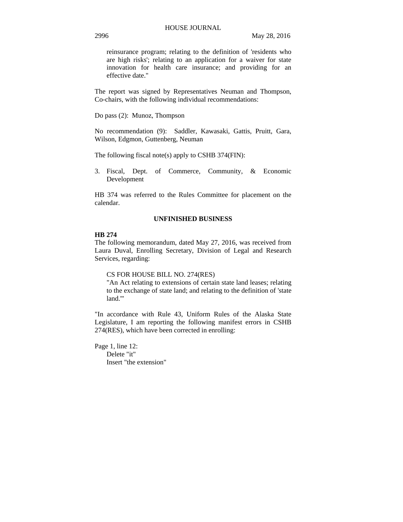reinsurance program; relating to the definition of 'residents who are high risks'; relating to an application for a waiver for state innovation for health care insurance; and providing for an effective date."

The report was signed by Representatives Neuman and Thompson, Co-chairs, with the following individual recommendations:

Do pass (2): Munoz, Thompson

No recommendation (9): Saddler, Kawasaki, Gattis, Pruitt, Gara, Wilson, Edgmon, Guttenberg, Neuman

The following fiscal note(s) apply to CSHB 374(FIN):

3. Fiscal, Dept. of Commerce, Community, & Economic Development

HB 374 was referred to the Rules Committee for placement on the calendar.

# **UNFINISHED BUSINESS**

#### **HB 274**

The following memorandum, dated May 27, 2016, was received from Laura Duval, Enrolling Secretary, Division of Legal and Research Services, regarding:

CS FOR HOUSE BILL NO. 274(RES)

"An Act relating to extensions of certain state land leases; relating to the exchange of state land; and relating to the definition of 'state land.'"

"In accordance with Rule 43, Uniform Rules of the Alaska State Legislature, I am reporting the following manifest errors in CSHB 274(RES), which have been corrected in enrolling:

Page 1, line 12: Delete "it" Insert "the extension"